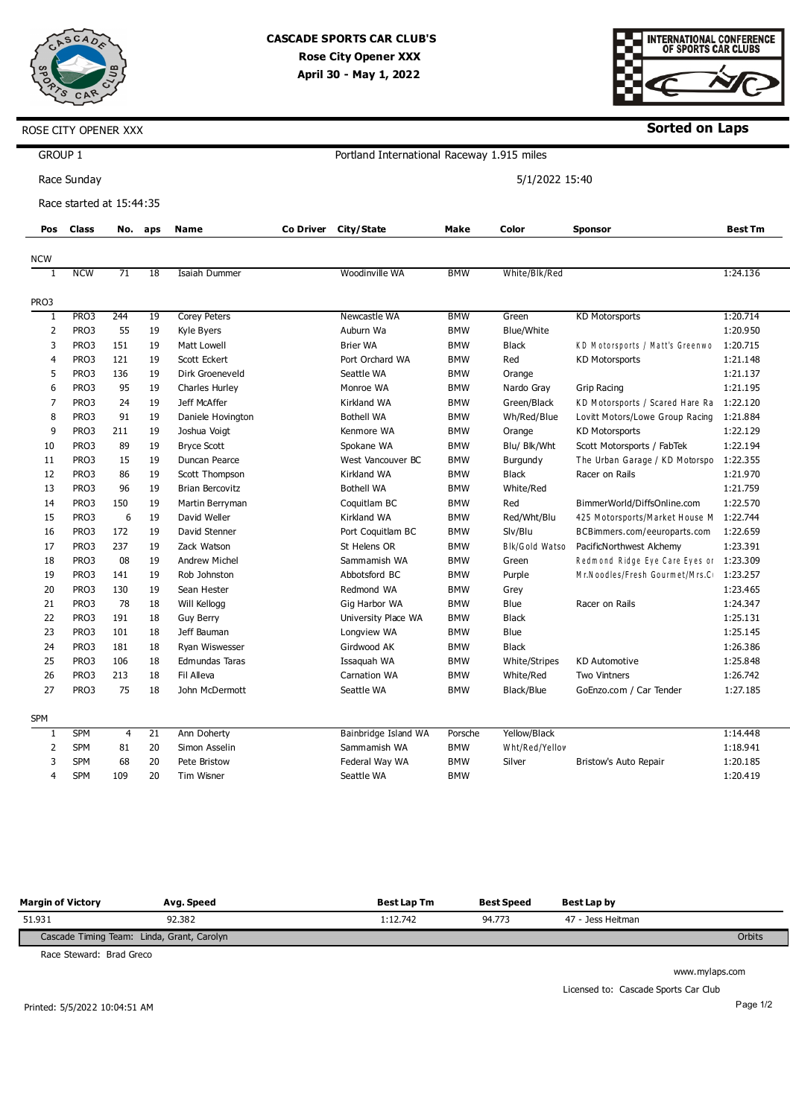

# **CASCADE SPORTS CAR CLUB'S Rose City Opener XXX April 30 - May 1, 2022**



**Sorted on Laps**

| <b>GROUP 1</b> |                          |                |                 |                        |           | Portland International Raceway 1.915 miles |            |                 |                                          |                |
|----------------|--------------------------|----------------|-----------------|------------------------|-----------|--------------------------------------------|------------|-----------------|------------------------------------------|----------------|
|                | Race Sunday              |                |                 |                        |           |                                            |            | 5/1/2022 15:40  |                                          |                |
|                | Race started at 15:44:35 |                |                 |                        |           |                                            |            |                 |                                          |                |
| Pos            | <b>Class</b>             |                | No. aps         | <b>Name</b>            | Co Driver | City/State                                 | Make       | Color           | <b>Sponsor</b>                           | <b>Best Tm</b> |
| <b>NCW</b>     |                          |                |                 |                        |           |                                            |            |                 |                                          |                |
| 1              | <b>NCW</b>               | 71             | 18              | Isaiah Dummer          |           | Woodinville WA                             | <b>BMW</b> | White/Blk/Red   |                                          | 1:24.136       |
| PRO3           |                          |                |                 |                        |           |                                            |            |                 |                                          |                |
| 1              | PR <sub>O3</sub>         | 244            | 19              | <b>Corey Peters</b>    |           | Newcastle WA                               | <b>BMW</b> | Green           | <b>KD Motorsports</b>                    | 1:20.714       |
| $\overline{2}$ | PRO3                     | 55             | 19              | Kyle Byers             |           | Auburn Wa                                  | <b>BMW</b> | Blue/White      |                                          | 1:20.950       |
| 3              | PRO3                     | 151            | 19              | Matt Lowell            |           | <b>Brier WA</b>                            | <b>BMW</b> | <b>Black</b>    | KD Motorsports / Matt's Greenwo          | 1:20.715       |
| 4              | PRO3                     | 121            | 19              | Scott Eckert           |           | Port Orchard WA                            | <b>BMW</b> | Red             | <b>KD Motorsports</b>                    | 1:21.148       |
| 5              | PRO3                     | 136            | 19              | Dirk Groeneveld        |           | Seattle WA                                 | <b>BMW</b> | Orange          |                                          | 1:21.137       |
| 6              | PRO3                     | 95             | 19              | <b>Charles Hurley</b>  |           | Monroe WA                                  | <b>BMW</b> | Nardo Gray      | Grip Racing                              | 1:21.195       |
| $\overline{7}$ | PRO3                     | 24             | 19              | Jeff McAffer           |           | Kirkland WA                                | <b>BMW</b> | Green/Black     | KD Motorsports / Scared Hare Ra 1:22.120 |                |
| 8              | PRO3                     | 91             | 19              | Daniele Hovington      |           | <b>Bothell WA</b>                          | <b>BMW</b> | Wh/Red/Blue     | Lovitt Motors/Lowe Group Racing          | 1:21.884       |
| 9              | PRO3                     | 211            | 19              | Joshua Voigt           |           | Kenmore WA                                 | <b>BMW</b> | Orange          | <b>KD Motorsports</b>                    | 1:22.129       |
| 10             | PRO3                     | 89             | 19              | <b>Bryce Scott</b>     |           | Spokane WA                                 | <b>BMW</b> | Blu/ Blk/Wht    | Scott Motorsports / FabTek               | 1:22.194       |
| 11             | PRO3                     | 15             | 19              | Duncan Pearce          |           | West Vancouver BC                          | <b>BMW</b> | <b>Burgundy</b> | The Urban Garage / KD Motorspo           | 1:22.355       |
| 12             | PRO3                     | 86             | 19              | Scott Thompson         |           | Kirkland WA                                | <b>BMW</b> | <b>Black</b>    | Racer on Rails                           | 1:21.970       |
| 13             | PRO3                     | 96             | 19              | <b>Brian Bercovitz</b> |           | <b>Bothell WA</b>                          | <b>BMW</b> | White/Red       |                                          | 1:21.759       |
| 14             | PRO3                     | 150            | 19              | Martin Berryman        |           | Coquitlam BC                               | <b>BMW</b> | Red             | BimmerWorld/DiffsOnline.com              | 1:22.570       |
| 15             | PRO3                     | 6              | 19              | David Weller           |           | Kirkland WA                                | <b>BMW</b> | Red/Wht/Blu     | 425 Motorsports/Market House M           | 1:22.744       |
| 16             | PRO3                     | 172            | 19              | David Stenner          |           | Port Coquitlam BC                          | <b>BMW</b> | Slv/Blu         | BCBimmers.com/eeuroparts.com             | 1:22.659       |
| 17             | PRO3                     | 237            | 19              | Zack Watson            |           | St Helens OR                               | <b>BMW</b> | Blk/Gold Watso  | PacificNorthwest Alchemy                 | 1:23.391       |
| 18             | PRO3                     | 08             | 19              | <b>Andrew Michel</b>   |           | Sammamish WA                               | <b>BMW</b> | Green           | Redmond Ridge Eye Care Eyes or 1:23.309  |                |
| 19             | PRO3                     | 141            | 19              | Rob Johnston           |           | Abbotsford BC                              | <b>BMW</b> | Purple          | Mr.Noodles/Fresh Gourmet/Mrs.C           | 1:23.257       |
| 20             | PRO3                     | 130            | 19              | Sean Hester            |           | Redmond WA                                 | <b>BMW</b> | Grey            |                                          | 1:23.465       |
| 21             | PRO3                     | 78             | 18              | Will Kellogg           |           | Gig Harbor WA                              | <b>BMW</b> | Blue            | Racer on Rails                           | 1:24.347       |
| 22             | PRO3                     | 191            | 18              | <b>Guy Berry</b>       |           | University Place WA                        | <b>BMW</b> | <b>Black</b>    |                                          | 1:25.131       |
| 23             | PRO3                     | 101            | 18              | Jeff Bauman            |           | Longview WA                                | <b>BMW</b> | Blue            |                                          | 1:25.145       |
| 24             | PRO3                     | 181            | 18              | Ryan Wiswesser         |           | Girdwood AK                                | <b>BMW</b> | <b>Black</b>    |                                          | 1:26.386       |
| 25             | PRO3                     | 106            | 18              | Edmundas Taras         |           | Issaquah WA                                | <b>BMW</b> | White/Stripes   | <b>KD Automotive</b>                     | 1:25.848       |
| 26             | PRO3                     | 213            | 18              | Fil Alleva             |           | Carnation WA                               | <b>BMW</b> | White/Red       | Two Vintners                             | 1:26.742       |
| 27             | PRO3                     | 75             | 18              | John McDermott         |           | Seattle WA                                 | <b>BMW</b> | Black/Blue      | GoEnzo.com / Car Tender                  | 1:27.185       |
|                |                          |                |                 |                        |           |                                            |            |                 |                                          |                |
| <b>SPM</b>     |                          |                |                 |                        |           |                                            |            |                 |                                          |                |
| $\mathbf{1}$   | <b>SPM</b>               | $\overline{4}$ | $\overline{21}$ | Ann Doherty            |           | Bainbridge Island WA                       | Porsche    | Yellow/Black    |                                          | 1:14.448       |
| 2              | <b>SPM</b>               | 81             | 20              | Simon Asselin          |           | Sammamish WA                               | <b>BMW</b> | Wht/Red/Yellov  |                                          | 1:18.941       |
| 3              | <b>SPM</b>               | 68             | 20              | Pete Bristow           |           | Federal Way WA                             | <b>BMW</b> | Silver          | Bristow's Auto Repair                    | 1:20.185       |
| 4              | <b>SPM</b>               | 109            | 20              | Tim Wisner             |           | Seattle WA                                 | <b>BMW</b> |                 |                                          | 1:20.419       |
|                |                          |                |                 |                        |           |                                            |            |                 |                                          |                |

| <b>Margin of Victory</b>                   | Avg. Speed | <b>Best Lap Tm</b> | <b>Best Speed</b> | Best Lap by       |        |
|--------------------------------------------|------------|--------------------|-------------------|-------------------|--------|
| 51.931                                     | 92.382     | !:12.742           | 94.773            | 47 - Jess Heitman |        |
| Cascade Timing Team: Linda, Grant, Carolyn |            |                    |                   |                   | Orbits |

Race Steward: Brad Greco

www.mylaps.com

Licensed to: Cascade Sports Car Club

Printed: 5/5/2022 10:04:51 AM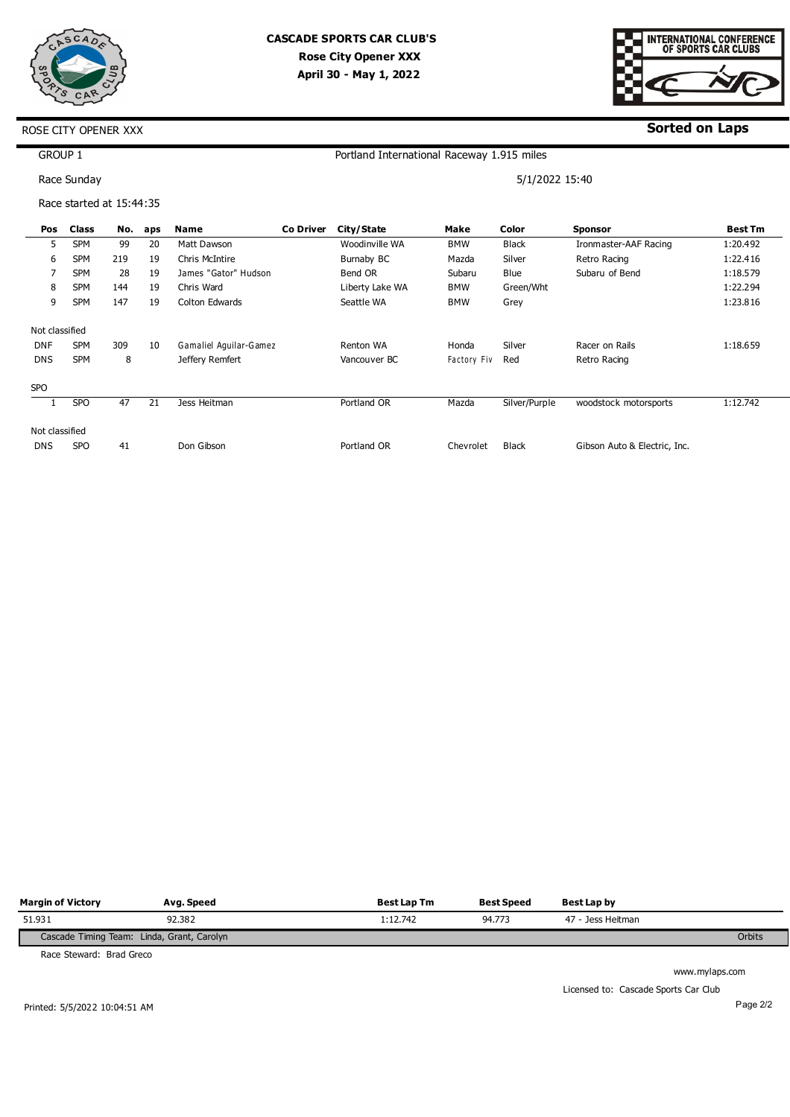

# **CASCADE SPORTS CAR CLUB'S Rose City Opener XXX April 30 - May 1, 2022**



### **Sorted on Laps**

### ROSE CITY OPENER XXX

GROUP 1

Race Sunday

Race started at 15:44:35

5/1/2022 15:40

| Pos            | Class           | No. | aps | <b>Name</b>            | <b>Co Driver</b> | City/State      | Make        | Color         | <b>Sponsor</b>               | <b>Best Tm</b> |
|----------------|-----------------|-----|-----|------------------------|------------------|-----------------|-------------|---------------|------------------------------|----------------|
| 5              | <b>SPM</b>      | 99  | 20  | Matt Dawson            |                  | Woodinville WA  | <b>BMW</b>  | <b>Black</b>  | Ironmaster-AAF Racing        | 1:20.492       |
| 6              | <b>SPM</b>      | 219 | 19  | Chris McIntire         |                  | Burnaby BC      | Mazda       | Silver        | Retro Racing                 | 1:22.416       |
| 7              | <b>SPM</b>      | 28  | 19  | James "Gator" Hudson   |                  | Bend OR         | Subaru      | Blue          | Subaru of Bend               | 1:18.579       |
| 8              | SPM             | 144 | 19  | Chris Ward             |                  | Liberty Lake WA | BMW         | Green/Wht     |                              | 1:22.294       |
| 9              | <b>SPM</b>      | 147 | 19  | Colton Edwards         |                  | Seattle WA      | <b>BMW</b>  | Grey          |                              | 1:23.816       |
| Not classified |                 |     |     |                        |                  |                 |             |               |                              |                |
| <b>DNF</b>     | <b>SPM</b>      | 309 | 10  | Gamaliel Aguilar-Gamez |                  | Renton WA       | Honda       | Silver        | Racer on Rails               | 1:18.659       |
| <b>DNS</b>     | <b>SPM</b>      | 8   |     | Jeffery Remfert        |                  | Vancouver BC    | Factory Fiv | Red           | Retro Racing                 |                |
| <b>SPO</b>     |                 |     |     |                        |                  |                 |             |               |                              |                |
|                | SP <sub>O</sub> | 47  | 21  | Jess Heitman           |                  | Portland OR     | Mazda       | Silver/Purple | woodstock motorsports        | 1:12.742       |
| Not classified |                 |     |     |                        |                  |                 |             |               |                              |                |
| <b>DNS</b>     | <b>SPO</b>      | 41  |     | Don Gibson             |                  | Portland OR     | Chevrolet   | <b>Black</b>  | Gibson Auto & Electric, Inc. |                |

| <b>Margin of Victory</b>                   | Avg. Speed | <b>Best Lap Tm</b> | <b>Best Speed</b> | Best Lap by       |        |
|--------------------------------------------|------------|--------------------|-------------------|-------------------|--------|
| 51.931                                     | 92.382     | 1:12.742           | 94.773            | 47 - Jess Heitman |        |
| Cascade Timing Team: Linda, Grant, Carolyn |            |                    |                   |                   | Orbits |

Race Steward: Brad Greco

Licensed to: Cascade Sports Car Club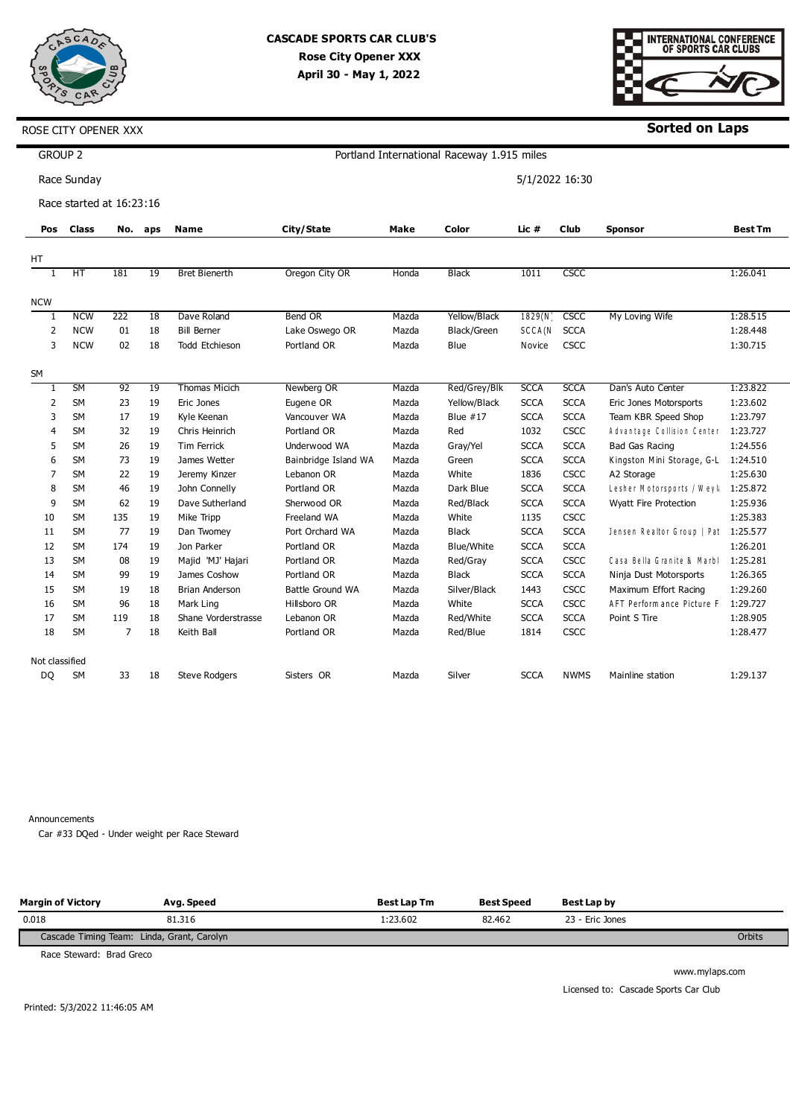



**Sorted on Laps**

|                | <b>GROUP 2</b><br>Portland International Raceway 1.915 miles |                |         |                       |                      |       |              |                |             |                                     |                |  |
|----------------|--------------------------------------------------------------|----------------|---------|-----------------------|----------------------|-------|--------------|----------------|-------------|-------------------------------------|----------------|--|
|                | Race Sunday                                                  |                |         |                       |                      |       |              | 5/1/2022 16:30 |             |                                     |                |  |
|                | Race started at 16:23:16                                     |                |         |                       |                      |       |              |                |             |                                     |                |  |
| Pos            | <b>Class</b>                                                 |                | No. aps | Name                  | City/State           | Make  | Color        | Lic #          | <b>Club</b> | <b>Sponsor</b>                      | <b>Best Tm</b> |  |
| НT             |                                                              |                |         |                       |                      |       |              |                |             |                                     |                |  |
| 1              | HT                                                           | 181            | 19      | <b>Bret Bienerth</b>  | Oregon City OR       | Honda | <b>Black</b> | 1011           | <b>CSCC</b> |                                     | 1:26.041       |  |
| <b>NCW</b>     |                                                              |                |         |                       |                      |       |              |                |             |                                     |                |  |
| 1              | <b>NCW</b>                                                   | 222            | 18      | Dave Roland           | Bend OR              | Mazda | Yellow/Black | 1829(N)        | <b>CSCC</b> | My Loving Wife                      | 1:28.515       |  |
| $\overline{2}$ | <b>NCW</b>                                                   | 01             | 18      | <b>Bill Berner</b>    | Lake Oswego OR       | Mazda | Black/Green  | SCCA(N         | <b>SCCA</b> |                                     | 1:28.448       |  |
| 3              | <b>NCW</b>                                                   | 02             | 18      | <b>Todd Etchieson</b> | Portland OR          | Mazda | Blue         | Novice         | CSCC        |                                     | 1:30.715       |  |
|                |                                                              |                |         |                       |                      |       |              |                |             |                                     |                |  |
| SM             |                                                              |                |         |                       |                      |       |              |                |             |                                     |                |  |
| 1              | <b>SM</b>                                                    | 92             | 19      | <b>Thomas Micich</b>  | Newberg OR           | Mazda | Red/Grey/Blk | <b>SCCA</b>    | <b>SCCA</b> | Dan's Auto Center                   | 1:23.822       |  |
| 2              | SM                                                           | 23             | 19      | Eric Jones            | Eugene OR            | Mazda | Yellow/Black | <b>SCCA</b>    | <b>SCCA</b> | Eric Jones Motorsports              | 1:23.602       |  |
| 3              | SM                                                           | 17             | 19      | Kyle Keenan           | Vancouver WA         | Mazda | Blue $#17$   | <b>SCCA</b>    | <b>SCCA</b> | Team KBR Speed Shop                 | 1:23.797       |  |
| 4              | <b>SM</b>                                                    | 32             | 19      | Chris Heinrich        | Portland OR          | Mazda | Red          | 1032           | CSCC        | Advantage Collision Center          | 1:23.727       |  |
| 5              | <b>SM</b>                                                    | 26             | 19      | Tim Ferrick           | Underwood WA         | Mazda | Gray/Yel     | <b>SCCA</b>    | <b>SCCA</b> | <b>Bad Gas Racing</b>               | 1:24.556       |  |
| 6              | <b>SM</b>                                                    | 73             | 19      | James Wetter          | Bainbridge Island WA | Mazda | Green        | <b>SCCA</b>    | <b>SCCA</b> | Kingston Mini Storage, G-L          | 1:24.510       |  |
| 7              | <b>SM</b>                                                    | 22             | 19      | Jeremy Kinzer         | Lebanon OR           | Mazda | White        | 1836           | CSCC        | A2 Storage                          | 1:25.630       |  |
| 8              | <b>SM</b>                                                    | 46             | 19      | John Connelly         | Portland OR          | Mazda | Dark Blue    | <b>SCCA</b>    | <b>SCCA</b> | Lesher Motorsports / Weyk           | 1:25.872       |  |
| 9              | <b>SM</b>                                                    | 62             | 19      | Dave Sutherland       | Sherwood OR          | Mazda | Red/Black    | <b>SCCA</b>    | <b>SCCA</b> | Wyatt Fire Protection               | 1:25.936       |  |
| 10             | <b>SM</b>                                                    | 135            | 19      | Mike Tripp            | Freeland WA          | Mazda | White        | 1135           | CSCC        |                                     | 1:25.383       |  |
| 11             | <b>SM</b>                                                    | 77             | 19      | Dan Twomey            | Port Orchard WA      | Mazda | <b>Black</b> | <b>SCCA</b>    | <b>SCCA</b> | Jensen Realtor Group   Pat 1:25.577 |                |  |
| 12             | <b>SM</b>                                                    | 174            | 19      | Jon Parker            | Portland OR          | Mazda | Blue/White   | <b>SCCA</b>    | <b>SCCA</b> |                                     | 1:26.201       |  |
| 13             | <b>SM</b>                                                    | 08             | 19      | Majid 'MJ' Hajari     | Portland OR          | Mazda | Red/Gray     | <b>SCCA</b>    | CSCC        | Casa Bella Granite & Marbl          | 1:25.281       |  |
| 14             | <b>SM</b>                                                    | 99             | 19      | James Coshow          | Portland OR          | Mazda | <b>Black</b> | <b>SCCA</b>    | <b>SCCA</b> | Ninja Dust Motorsports              | 1:26.365       |  |
| 15             | <b>SM</b>                                                    | 19             | 18      | <b>Brian Anderson</b> | Battle Ground WA     | Mazda | Silver/Black | 1443           | CSCC        | Maximum Effort Racing               | 1:29.260       |  |
| 16             | <b>SM</b>                                                    | 96             | 18      | Mark Ling             | Hillsboro OR         | Mazda | White        | <b>SCCA</b>    | CSCC        | AFT Perform ance Picture F          | 1:29.727       |  |
| 17             | SM                                                           | 119            | 18      | Shane Vorderstrasse   | Lebanon OR           | Mazda | Red/White    | <b>SCCA</b>    | <b>SCCA</b> | Point S Tire                        | 1:28.905       |  |
| 18             | SM                                                           | $\overline{7}$ | 18      | Keith Ball            | Portland OR          | Mazda | Red/Blue     | 1814           | <b>CSCC</b> |                                     | 1:28.477       |  |
| Not classified |                                                              |                |         |                       |                      |       |              |                |             |                                     |                |  |
| DQ             | <b>SM</b>                                                    | 33             | 18      | <b>Steve Rodgers</b>  | Sisters OR           | Mazda | Silver       | <b>SCCA</b>    | <b>NWMS</b> | Mainline station                    | 1:29.137       |  |

Announcements

Car #33 DQed - Under weight per Race Steward

| <b>Margin of Victory</b>                   | Avg. Speed | <b>Best Lap Tm</b> | <b>Best Speed</b> | Best Lap by     |        |
|--------------------------------------------|------------|--------------------|-------------------|-----------------|--------|
| 0.018                                      | 81.316     | : 23.602           | 82.462            | 23 - Eric Jones |        |
| Cascade Timing Team: Linda, Grant, Carolyn |            |                    |                   |                 | Orbits |

Race Steward: Brad Greco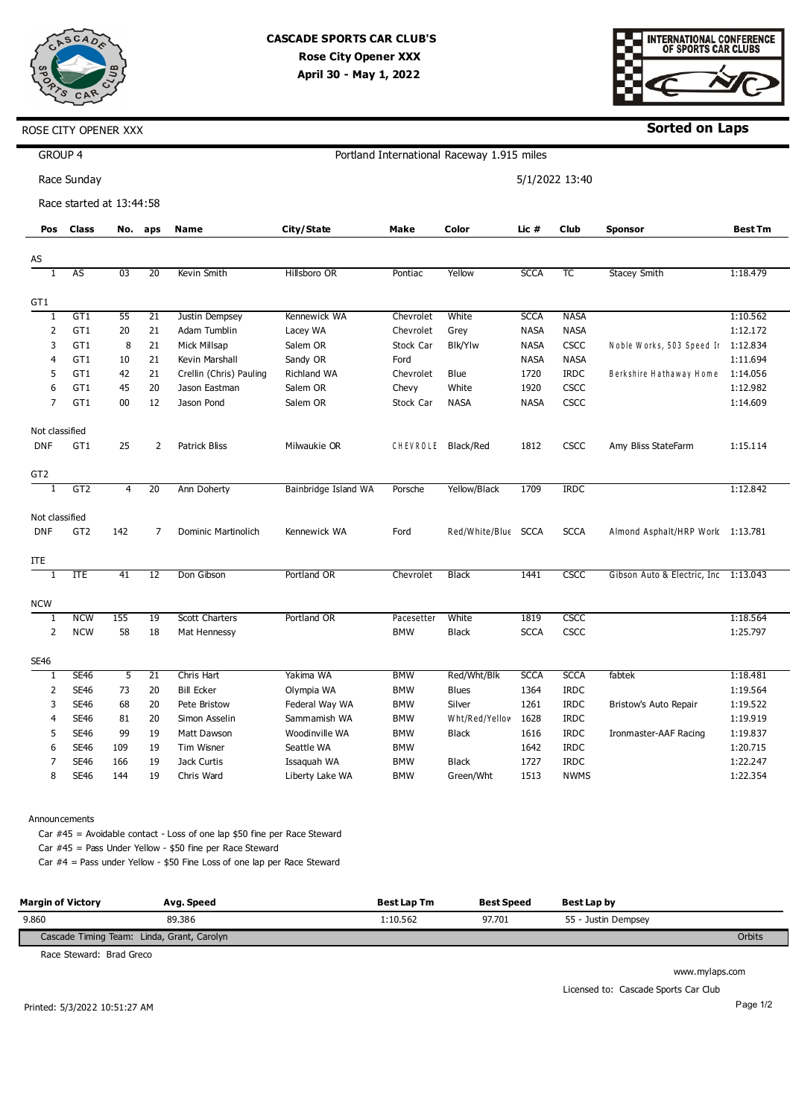

 $\blacksquare$ 



**Sorted on Laps**

| GROUP 4         |                          |     |                 |                         |                      |            | Portland International Raceway 1.915 miles |             |                |                                      |                |
|-----------------|--------------------------|-----|-----------------|-------------------------|----------------------|------------|--------------------------------------------|-------------|----------------|--------------------------------------|----------------|
|                 | Race Sunday              |     |                 |                         |                      |            |                                            |             | 5/1/2022 13:40 |                                      |                |
|                 | Race started at 13:44:58 |     |                 |                         |                      |            |                                            |             |                |                                      |                |
| Pos             | <b>Class</b>             | No. | aps             | <b>Name</b>             | City/State           | Make       | Color                                      | Lic #       | Club           | <b>Sponsor</b>                       | <b>Best Tm</b> |
|                 |                          |     |                 |                         |                      |            |                                            |             |                |                                      |                |
| AS              |                          |     |                 |                         |                      |            |                                            |             |                |                                      |                |
| 1               | <b>AS</b>                | 03  | 20              | Kevin Smith             | Hillsboro OR         | Pontiac    | Yellow                                     | <b>SCCA</b> | TC             | <b>Stacey Smith</b>                  | 1:18.479       |
| GT <sub>1</sub> |                          |     |                 |                         |                      |            |                                            |             |                |                                      |                |
| $1\,$           | GT1                      | 55  | $\overline{21}$ | Justin Dempsey          | Kennewick WA         | Chevrolet  | White                                      | <b>SCCA</b> | <b>NASA</b>    |                                      | 1:10.562       |
| $\overline{2}$  | GT1                      | 20  | 21              | Adam Tumblin            | Lacey WA             | Chevrolet  | Grey                                       | <b>NASA</b> | <b>NASA</b>    |                                      | 1:12.172       |
| 3               | GT1                      | 8   | 21              | Mick Millsap            | Salem OR             | Stock Car  | <b>Blk/Ylw</b>                             | <b>NASA</b> | CSCC           | Noble Works, 503 Speed Ir            | 1:12.834       |
| 4               | GT1                      | 10  | 21              | Kevin Marshall          | Sandy OR             | Ford       |                                            | <b>NASA</b> | <b>NASA</b>    |                                      | 1:11.694       |
| 5               | GT1                      | 42  | 21              | Crellin (Chris) Pauling | Richland WA          | Chevrolet  | Blue                                       | 1720        | <b>IRDC</b>    | Berkshire Hathaway Home              | 1:14.056       |
| 6               | GT1                      | 45  | 20              | Jason Eastman           | Salem OR             | Chevy      | White                                      | 1920        | CSCC           |                                      | 1:12.982       |
| $\overline{7}$  | GT1                      | 00  | 12              | Jason Pond              | Salem OR             | Stock Car  | <b>NASA</b>                                | <b>NASA</b> | <b>CSCC</b>    |                                      | 1:14.609       |
| Not classified  |                          |     |                 |                         |                      |            |                                            |             |                |                                      |                |
| <b>DNF</b>      | GT1                      | 25  | $\overline{2}$  | <b>Patrick Bliss</b>    | Milwaukie OR         | CHEVROLE   | Black/Red                                  | 1812        | <b>CSCC</b>    | Amy Bliss StateFarm                  | 1:15.114       |
|                 |                          |     |                 |                         |                      |            |                                            |             |                |                                      |                |
| GT <sub>2</sub> |                          |     |                 |                         |                      |            |                                            |             |                |                                      |                |
|                 | GT <sub>2</sub>          | 4   | 20              | Ann Doherty             | Bainbridge Island WA | Porsche    | Yellow/Black                               | 1709        | <b>IRDC</b>    |                                      | 1:12.842       |
| Not classified  |                          |     |                 |                         |                      |            |                                            |             |                |                                      |                |
| <b>DNF</b>      | GT <sub>2</sub>          | 142 | 7               | Dominic Martinolich     | Kennewick WA         | Ford       | Red/White/Blue SCCA                        |             | <b>SCCA</b>    | Almond Asphalt/HRP Work 1:13.781     |                |
|                 |                          |     |                 |                         |                      |            |                                            |             |                |                                      |                |
| ITE             |                          |     |                 |                         |                      |            |                                            |             |                |                                      |                |
| $\mathbf{1}$    | <b>ITE</b>               | 41  | 12              | Don Gibson              | Portland OR          | Chevrolet  | <b>Black</b>                               | 1441        | CSCC           | Gibson Auto & Electric, Inc 1:13.043 |                |
| <b>NCW</b>      |                          |     |                 |                         |                      |            |                                            |             |                |                                      |                |
| $\overline{1}$  | <b>NCW</b>               | 155 | 19              | <b>Scott Charters</b>   | Portland OR          | Pacesetter | White                                      | 1819        | CSCC           |                                      | 1:18.564       |
| $\overline{2}$  | <b>NCW</b>               | 58  | 18              | Mat Hennessy            |                      | <b>BMW</b> | <b>Black</b>                               | <b>SCCA</b> | <b>CSCC</b>    |                                      | 1:25.797       |
| <b>SE46</b>     |                          |     |                 |                         |                      |            |                                            |             |                |                                      |                |
| T               | <b>SE46</b>              | 5   | 21              | Chris Hart              | Yakima WA            | <b>BMW</b> | Red/Wht/Blk                                | <b>SCCA</b> | <b>SCCA</b>    | fabtek                               | 1:18.481       |
| $\overline{2}$  | <b>SE46</b>              | 73  | 20              | <b>Bill Ecker</b>       | Olympia WA           | <b>BMW</b> | <b>Blues</b>                               | 1364        | <b>IRDC</b>    |                                      | 1:19.564       |
| 3               | <b>SE46</b>              | 68  | 20              | Pete Bristow            | Federal Way WA       | <b>BMW</b> | Silver                                     | 1261        | <b>IRDC</b>    | Bristow's Auto Repair                | 1:19.522       |
| $\overline{4}$  | <b>SE46</b>              | 81  | 20              | Simon Asselin           | Sammamish WA         | <b>BMW</b> | Wht/Red/Yellov                             | 1628        | <b>IRDC</b>    |                                      | 1:19.919       |
| 5               | <b>SE46</b>              | 99  | 19              | Matt Dawson             | Woodinville WA       | <b>BMW</b> | Black                                      | 1616        | <b>IRDC</b>    | Ironmaster-AAF Racing                | 1:19.837       |
| 6               | <b>SE46</b>              | 109 | 19              | Tim Wisner              | Seattle WA           | <b>BMW</b> |                                            | 1642        | <b>IRDC</b>    |                                      | 1:20.715       |
| $\overline{7}$  | <b>SE46</b>              | 166 | 19              | Jack Curtis             | Issaquah WA          | <b>BMW</b> | <b>Black</b>                               | 1727        | <b>IRDC</b>    |                                      | 1:22.247       |
| 8               | <b>SE46</b>              | 144 | 19              | Chris Ward              | Liberty Lake WA      | <b>BMW</b> | Green/Wht                                  | 1513        | <b>NWMS</b>    |                                      | 1:22.354       |
|                 |                          |     |                 |                         |                      |            |                                            |             |                |                                      |                |

Announcements

Car #45 = Avoidable contact - Loss of one lap \$50 fine per Race Steward Car #45 = Pass Under Yellow - \$50 fine per Race Steward

Car #4 = Pass under Yellow - \$50 Fine Loss of one lap per Race Steward

| <b>Margin of Victory</b>                   | Avg. Speed | <b>Best Lap Tm</b> | <b>Best Speed</b> | Best Lap by         |        |
|--------------------------------------------|------------|--------------------|-------------------|---------------------|--------|
| 9.860                                      | 89.386     | :10.562            | 97.701            | 55 - Justin Dempsey |        |
| Cascade Timing Team: Linda, Grant, Carolyn |            |                    |                   |                     | Orbits |

Race Steward: Brad Greco

www.mylaps.com

Licensed to: Cascade Sports Car Club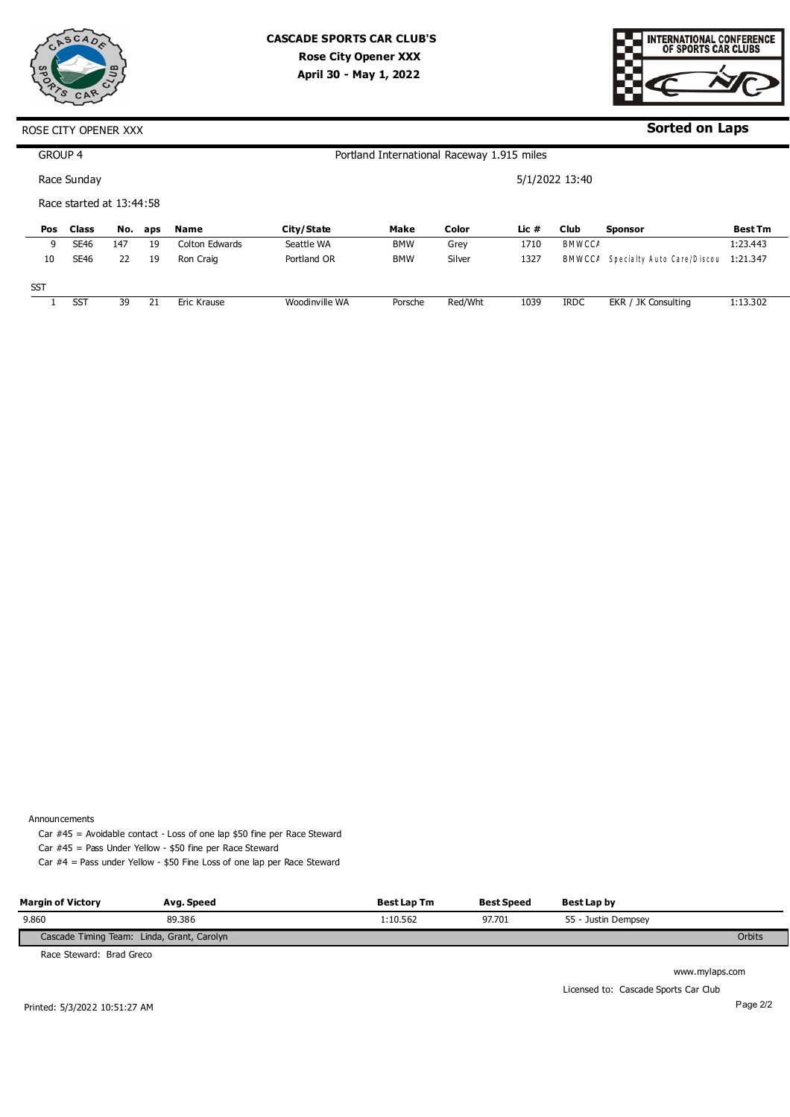



### **Sorted on Laps**

#### ROSE CITY OPENER XXX

| GROUP 4    |                          |     |     |                    |                | Portland International Raceway 1.915 miles |         |         |                |                            |                |
|------------|--------------------------|-----|-----|--------------------|----------------|--------------------------------------------|---------|---------|----------------|----------------------------|----------------|
|            | Race Sunday              |     |     |                    |                |                                            |         |         | 5/1/2022 13:40 |                            |                |
|            | Race started at 13:44:58 |     |     |                    |                |                                            |         |         |                |                            |                |
| Pos        | <b>Class</b>             | No. | aps | Name               | City/State     | Make                                       | Color   | Lic $#$ | <b>Club</b>    | <b>Sponsor</b>             | <b>Best Tm</b> |
| 9          | <b>SE46</b>              | 147 | 19  | Colton Edwards     | Seattle WA     | <b>BMW</b>                                 | Grey    | 1710    | <b>BMWCCA</b>  |                            | 1:23.443       |
| 10         | <b>SE46</b>              | 22  | 19  | Ron Craig          | Portland OR    | <b>BMW</b>                                 | Silver  | 1327    | <b>BMWCC/</b>  | Specialty Auto Care/Discou | 1:21.347       |
| <b>SST</b> |                          |     |     |                    |                |                                            |         |         |                |                            |                |
|            | <b>SST</b>               | 39  | 21  | <b>Eric Krause</b> | Woodinville WA | Porsche                                    | Red/Wht | 1039    | <b>IRDC</b>    | EKR / JK Consulting        | 1:13.302       |

Announcements

Car #45 = Avoidable contact - Loss of one lap \$50 fine per Race Steward Car #45 = Pass Under Yellow - \$50 fine per Race Steward

Car #4 = Pass under Yellow - \$50 Fine Loss of one lap per Race Steward

| <b>Margin of Victory</b>                   | Avg. Speed | <b>Best Lap Tm</b> | <b>Best Speed</b> | Best Lap by         |        |
|--------------------------------------------|------------|--------------------|-------------------|---------------------|--------|
| 9.860                                      | 89.386     | :10.562            | 97.701            | 55 - Justin Dempsey |        |
| Cascade Timing Team: Linda, Grant, Carolyn |            |                    |                   |                     | Orbits |

Race Steward: Brad Greco

www.mylaps.com

Licensed to: Cascade Sports Car Club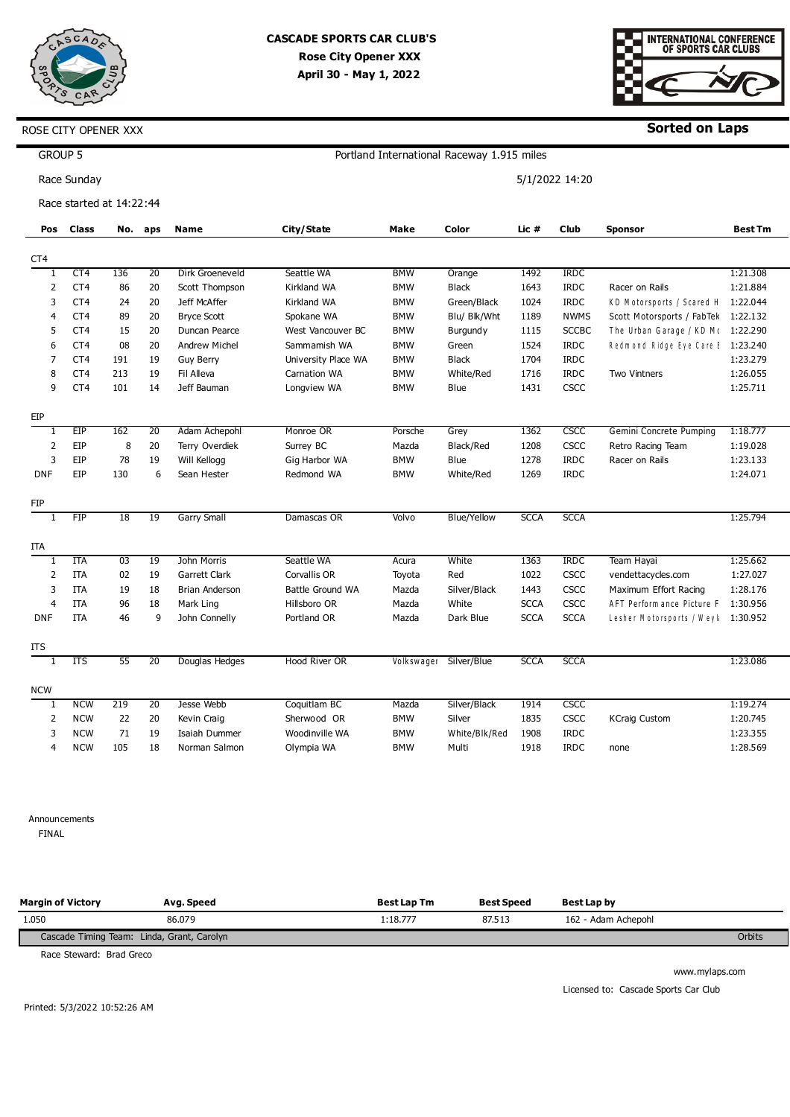

### **CASCADE SPORTS CAR CLUB'S Rose City Opener XXX April 30 - May 1, 2022**



**Sorted on Laps**

|                 |              |     |                                                                |                     |            |                    |                     |                                                             | Sorted on Laps                 |                                                                                                                                                                                                |
|-----------------|--------------|-----|----------------------------------------------------------------|---------------------|------------|--------------------|---------------------|-------------------------------------------------------------|--------------------------------|------------------------------------------------------------------------------------------------------------------------------------------------------------------------------------------------|
| <b>GROUP 5</b>  |              |     |                                                                |                     |            |                    |                     |                                                             |                                |                                                                                                                                                                                                |
| Race Sunday     |              |     |                                                                |                     |            |                    |                     |                                                             |                                |                                                                                                                                                                                                |
|                 |              |     |                                                                |                     |            |                    |                     |                                                             |                                |                                                                                                                                                                                                |
|                 |              |     |                                                                |                     |            |                    |                     |                                                             |                                |                                                                                                                                                                                                |
|                 |              |     |                                                                |                     |            |                    |                     |                                                             |                                | <b>Best Tm</b>                                                                                                                                                                                 |
|                 |              |     |                                                                |                     |            |                    |                     |                                                             |                                |                                                                                                                                                                                                |
| CT4             | 136          | 20  | Dirk Groeneveld                                                | Seattle WA          | <b>BMW</b> | Orange             | 1492                | <b>IRDC</b>                                                 |                                | 1:21.308                                                                                                                                                                                       |
| CT <sub>4</sub> | 86           | 20  | Scott Thompson                                                 | <b>Kirkland WA</b>  | <b>BMW</b> | <b>Black</b>       | 1643                | <b>IRDC</b>                                                 | Racer on Rails                 | 1:21.884                                                                                                                                                                                       |
| CT <sub>4</sub> | 24           | 20  | Jeff McAffer                                                   | Kirkland WA         | <b>BMW</b> | Green/Black        | 1024                | <b>IRDC</b>                                                 | KD Motorsports / Scared H      | 1:22.044                                                                                                                                                                                       |
| CT <sub>4</sub> | 89           | 20  | <b>Bryce Scott</b>                                             | Spokane WA          | <b>BMW</b> | Blu/ Blk/Wht       | 1189                | <b>NWMS</b>                                                 |                                |                                                                                                                                                                                                |
| CT4             | 15           | 20  | Duncan Pearce                                                  | West Vancouver BC   | <b>BMW</b> | Burgundy           | 1115                | <b>SCCBC</b>                                                |                                |                                                                                                                                                                                                |
| CT4             | 08           | 20  | <b>Andrew Michel</b>                                           | Sammamish WA        | <b>BMW</b> | Green              | 1524                | <b>IRDC</b>                                                 |                                |                                                                                                                                                                                                |
| CT <sub>4</sub> | 191          | 19  | <b>Guy Berry</b>                                               | University Place WA | <b>BMW</b> | <b>Black</b>       | 1704                | <b>IRDC</b>                                                 |                                | 1:23.279                                                                                                                                                                                       |
| CT <sub>4</sub> | 213          | 19  | Fil Alleva                                                     | Carnation WA        | <b>BMW</b> | White/Red          | 1716                | <b>IRDC</b>                                                 | Two Vintners                   | 1:26.055                                                                                                                                                                                       |
| CT4             | 101          | 14  | Jeff Bauman                                                    | Longview WA         | <b>BMW</b> | Blue               | 1431                | CSCC                                                        |                                | 1:25.711                                                                                                                                                                                       |
|                 |              |     |                                                                |                     |            |                    |                     |                                                             |                                |                                                                                                                                                                                                |
| EIP             | 162          | 20  | Adam Achepohl                                                  | Monroe OR           | Porsche    | Grey               | 1362                | <b>CSCC</b>                                                 | Gemini Concrete Pumping        | 1:18.777                                                                                                                                                                                       |
| EIP             | 8            | 20  | Terry Overdiek                                                 | Surrey BC           | Mazda      | Black/Red          | 1208                | CSCC                                                        | Retro Racing Team              | 1:19.028                                                                                                                                                                                       |
| EIP             | 78           | 19  | Will Kellogg                                                   | Gig Harbor WA       | <b>BMW</b> | Blue               | 1278                | <b>IRDC</b>                                                 | Racer on Rails                 | 1:23.133                                                                                                                                                                                       |
| EIP             | 130          | 6   | Sean Hester                                                    | Redmond WA          | <b>BMW</b> | White/Red          | 1269                | <b>IRDC</b>                                                 |                                | 1:24.071                                                                                                                                                                                       |
|                 |              |     |                                                                |                     |            |                    |                     |                                                             |                                |                                                                                                                                                                                                |
| FIP             | 18           | 19  | <b>Garry Small</b>                                             | Damascas OR         | Volvo      | <b>Blue/Yellow</b> | <b>SCCA</b>         | <b>SCCA</b>                                                 |                                | 1:25.794                                                                                                                                                                                       |
|                 |              |     |                                                                |                     |            |                    |                     |                                                             |                                |                                                                                                                                                                                                |
| <b>ITA</b>      | 03           | 19  | John Morris                                                    | Seattle WA          | Acura      | White              | 1363                | <b>IRDC</b>                                                 | Team Hayai                     | 1:25.662                                                                                                                                                                                       |
| <b>ITA</b>      | 02           | 19  | Garrett Clark                                                  | Corvallis OR        | Toyota     | Red                | 1022                | CSCC                                                        | vendettacycles.com             | 1:27.027                                                                                                                                                                                       |
| <b>ITA</b>      | 19           | 18  | Brian Anderson                                                 | Battle Ground WA    | Mazda      | Silver/Black       | 1443                | <b>CSCC</b>                                                 | Maximum Effort Racing          | 1:28.176                                                                                                                                                                                       |
| <b>ITA</b>      | 96           | 18  | Mark Ling                                                      | Hillsboro OR        | Mazda      | White              | <b>SCCA</b>         | CSCC                                                        | AFT Perform ance Picture F     | 1:30.956                                                                                                                                                                                       |
| <b>ITA</b>      | 46           | 9   | John Connelly                                                  | Portland OR         | Mazda      | Dark Blue          | <b>SCCA</b>         | <b>SCCA</b>                                                 |                                |                                                                                                                                                                                                |
|                 |              |     |                                                                |                     |            |                    |                     |                                                             |                                |                                                                                                                                                                                                |
| <b>ITS</b>      | 55           | 20  | Douglas Hedges                                                 | Hood River OR       |            | Silver/Blue        | <b>SCCA</b>         | <b>SCCA</b>                                                 |                                | 1:23.086                                                                                                                                                                                       |
|                 |              |     |                                                                |                     |            |                    |                     |                                                             |                                |                                                                                                                                                                                                |
| <b>NCW</b>      |              | 20  |                                                                | Coquitlam BC        | Mazda      | Silver/Black       |                     |                                                             |                                | 1:19.274                                                                                                                                                                                       |
| <b>NCW</b>      | 22           | 20  | Kevin Craig                                                    | Sherwood OR         | <b>BMW</b> | Silver             | 1835                | <b>CSCC</b>                                                 |                                | 1:20.745                                                                                                                                                                                       |
| <b>NCW</b>      | 71           | 19  | Isaiah Dummer                                                  | Woodinville WA      | <b>BMW</b> | White/Blk/Red      | 1908                | <b>IRDC</b>                                                 |                                | 1:23.355                                                                                                                                                                                       |
|                 | <b>Class</b> | 219 | ROSE CITY OPENER XXX<br>Race started at 14:22:44<br>No.<br>aps | Name<br>Jesse Webb  | City/State | Make               | Color<br>Volkswager | Portland International Raceway 1.915 miles<br>Lic #<br>1914 | 5/1/2022 14:20<br>Club<br>CSCC | <b>Sponsor</b><br>Scott Motorsports / FabTek 1:22.132<br>The Urban Garage / KD M (1:22.290<br>Redmond Ridge Eye Care E 1:23.240<br>Lesher Motorsports / Weyl: 1:30.952<br><b>KCraig Custom</b> |

Announcements

**FINAL** 

4

NCW

105

18

Norman Salmon

Olympia WA

| <b>Margin of Victory</b>                   | Ava. Speed | <b>Best Lap Tm</b> | <b>Best Speed</b> | <b>Best Lap by</b>  |        |
|--------------------------------------------|------------|--------------------|-------------------|---------------------|--------|
| 1.050                                      | 86.079     | 1:18.777           | 87.513            | 162 - Adam Achepohl |        |
| Cascade Timing Team: Linda, Grant, Carolyn |            |                    |                   |                     | Orbits |

BMW

1918

IRDC

none

1:28.569

Multi

Race Steward: Brad Greco

www.mylaps.com Licensed to: Cascade Sports Car Club

Printed: 5/3/2022 10:52:26 AM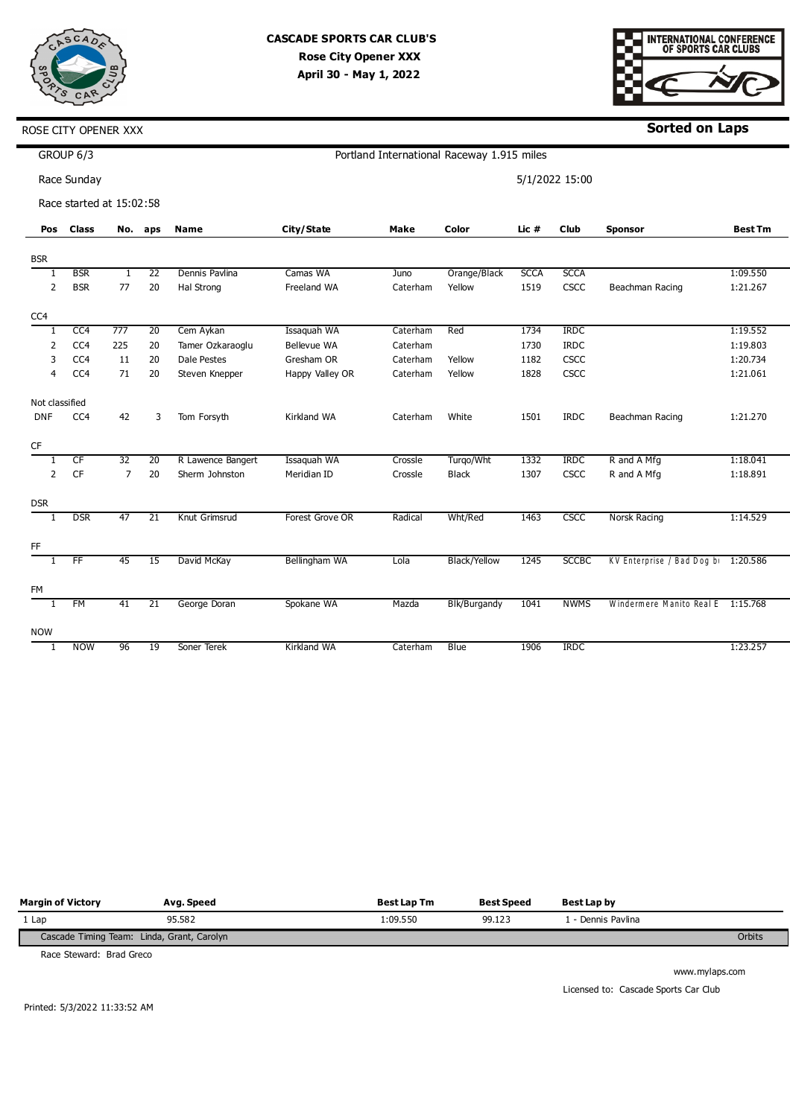



**Sorted on Laps**

|                | GROUP 6/3<br>Portland International Raceway 1.915 miles |     |                 |                    |                    |             |                     |             |              |                                     |                |
|----------------|---------------------------------------------------------|-----|-----------------|--------------------|--------------------|-------------|---------------------|-------------|--------------|-------------------------------------|----------------|
|                | Race Sunday<br>5/1/2022 15:00                           |     |                 |                    |                    |             |                     |             |              |                                     |                |
|                | Race started at 15:02:58                                |     |                 |                    |                    |             |                     |             |              |                                     |                |
| Pos            | <b>Class</b>                                            | No. | aps             | Name               | City/State         | <b>Make</b> | Color               | Lic #       | <b>Club</b>  | <b>Sponsor</b>                      | <b>Best Tm</b> |
| <b>BSR</b>     |                                                         |     |                 |                    |                    |             |                     |             |              |                                     |                |
|                | <b>BSR</b>                                              | 1   | 22              | Dennis Paylina     | Camas WA           | Juno        | Orange/Black        | <b>SCCA</b> | <b>SCCA</b>  |                                     | 1:09.550       |
| 2              | <b>BSR</b>                                              | 77  | 20              | Hal Strong         | Freeland WA        | Caterham    | Yellow              | 1519        | CSCC         | Beachman Racing                     | 1:21.267       |
| CC4            |                                                         |     |                 |                    |                    |             |                     |             |              |                                     |                |
| 1              | CC <sub>4</sub>                                         | 777 | 20              | Cem Aykan          | Issaquah WA        | Caterham    | Red                 | 1734        | <b>IRDC</b>  |                                     | 1:19.552       |
| 2              | CC4                                                     | 225 | 20              | Tamer Ozkaraoglu   | <b>Bellevue WA</b> | Caterham    |                     | 1730        | <b>IRDC</b>  |                                     | 1:19.803       |
| 3              | CC4                                                     | 11  | 20              | <b>Dale Pestes</b> | Gresham OR         | Caterham    | Yellow              | 1182        | CSCC         |                                     | 1:20.734       |
| 4              | CC4                                                     | 71  | 20              | Steven Knepper     | Happy Valley OR    | Caterham    | Yellow              | 1828        | CSCC         |                                     | 1:21.061       |
| Not classified |                                                         |     |                 |                    |                    |             |                     |             |              |                                     |                |
| <b>DNF</b>     | CC4                                                     | 42  | 3               | Tom Forsyth        | Kirkland WA        | Caterham    | White               | 1501        | <b>IRDC</b>  | Beachman Racing                     | 1:21.270       |
| <b>CF</b>      |                                                         |     |                 |                    |                    |             |                     |             |              |                                     |                |
|                | CF                                                      | 32  | 20              | R Lawence Bangert  | Issaquah WA        | Crossle     | Turgo/Wht           | 1332        | <b>IRDC</b>  | R and A Mfg                         | 1:18.041       |
| 2              | CF                                                      | 7   | 20              | Sherm Johnston     | Meridian ID        | Crossle     | <b>Black</b>        | 1307        | CSCC         | R and A Mfg                         | 1:18.891       |
| <b>DSR</b>     |                                                         |     |                 |                    |                    |             |                     |             |              |                                     |                |
| -1             | <b>DSR</b>                                              | 47  | $\overline{21}$ | Knut Grimsrud      | Forest Grove OR    | Radical     | Wht/Red             | 1463        | CSCC         | Norsk Racing                        | 1:14.529       |
| FF             |                                                         |     |                 |                    |                    |             |                     |             |              |                                     |                |
| 1              | FF                                                      | 45  | 15              | David McKay        | Bellingham WA      | Lola        | <b>Black/Yellow</b> | 1245        | <b>SCCBC</b> | KV Enterprise / Bad Dog bi 1:20.586 |                |

| <b>FM</b>  |            |    |    |              |             |          |              |      |             |                                   |          |
|------------|------------|----|----|--------------|-------------|----------|--------------|------|-------------|-----------------------------------|----------|
|            | FM         | 41 | 21 | George Doran | Spokane WA  | Mazda    | Blk/Burgandy | 1041 | <b>NWMS</b> | Windermere Manito Real E 1:15.768 |          |
|            |            |    |    |              |             |          |              |      |             |                                   |          |
| <b>NOW</b> |            |    |    |              |             |          |              |      |             |                                   |          |
|            | <b>NOW</b> | 96 | 19 | Soner Terek  | Kirkland WA | Caterham | Blue         | 1906 | <b>IRDC</b> |                                   | 1:23.257 |
|            |            |    |    |              |             |          |              |      |             |                                   |          |

| <b>Margin of Victory</b>                   | Avg. Speed | <b>Best Lap Tm</b> | <b>Best Speed</b> | Best Lap by      |        |
|--------------------------------------------|------------|--------------------|-------------------|------------------|--------|
| 1 Lap                                      | 95.582     | 1:09.550           | 99.123            | - Dennis Pavlina |        |
| Cascade Timing Team: Linda, Grant, Carolyn |            |                    |                   |                  | Orbits |

Race Steward: Brad Greco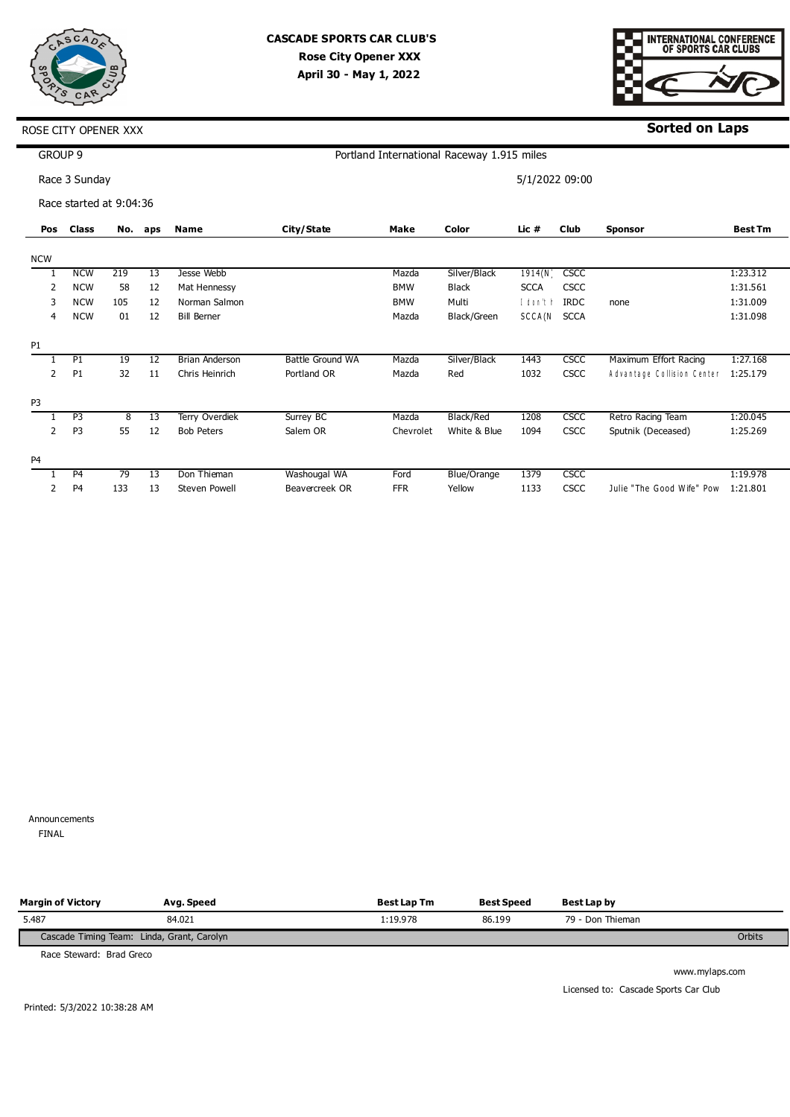



**Sorted on Laps**

|                | GROUP 9                 |     |     |                       |                  |            | Portland International Raceway 1.915 miles |                |             |                            |                |
|----------------|-------------------------|-----|-----|-----------------------|------------------|------------|--------------------------------------------|----------------|-------------|----------------------------|----------------|
|                | Race 3 Sunday           |     |     |                       |                  |            |                                            | 5/1/2022 09:00 |             |                            |                |
|                | Race started at 9:04:36 |     |     |                       |                  |            |                                            |                |             |                            |                |
| Pos            | <b>Class</b>            | No. | aps | <b>Name</b>           | City/State       | Make       | Color                                      | Lic #          | <b>Club</b> | <b>Sponsor</b>             | <b>Best Tm</b> |
| <b>NCW</b>     |                         |     |     |                       |                  |            |                                            |                |             |                            |                |
|                | <b>NCW</b>              | 219 | 13  | Jesse Webb            |                  | Mazda      | Silver/Black                               | 1914(N)        | <b>CSCC</b> |                            | 1:23.312       |
| 2              | <b>NCW</b>              | 58  | 12  | Mat Hennessy          |                  | <b>BMW</b> | <b>Black</b>                               | <b>SCCA</b>    | <b>CSCC</b> |                            | 1:31.561       |
| 3              | <b>NCW</b>              | 105 | 12  | Norman Salmon         |                  | <b>BMW</b> | Multi                                      | I don't h      | <b>IRDC</b> | none                       | 1:31.009       |
| 4              | <b>NCW</b>              | 01  | 12  | <b>Bill Berner</b>    |                  | Mazda      | Black/Green                                | SCCA(N         | <b>SCCA</b> |                            | 1:31.098       |
| P <sub>1</sub> |                         |     |     |                       |                  |            |                                            |                |             |                            |                |
|                | P1                      | 19  | 12  | <b>Brian Anderson</b> | Battle Ground WA | Mazda      | Silver/Black                               | 1443           | <b>CSCC</b> | Maximum Effort Racing      | 1:27.168       |
| 2              | P <sub>1</sub>          | 32  | 11  | Chris Heinrich        | Portland OR      | Mazda      | Red                                        | 1032           | <b>CSCC</b> | Advantage Collision Center | 1:25.179       |
| P <sub>3</sub> |                         |     |     |                       |                  |            |                                            |                |             |                            |                |
|                | P <sub>3</sub>          | 8   | 13  | Terry Overdiek        | Surrey BC        | Mazda      | Black/Red                                  | 1208           | <b>CSCC</b> | Retro Racing Team          | 1:20.045       |
| 2              | P <sub>3</sub>          | 55  | 12  | <b>Bob Peters</b>     | Salem OR         | Chevrolet  | White & Blue                               | 1094           | <b>CSCC</b> | Sputnik (Deceased)         | 1:25.269       |
| P <sub>4</sub> |                         |     |     |                       |                  |            |                                            |                |             |                            |                |
|                | P <sub>4</sub>          | 79  | 13  | Don Thieman           | Washougal WA     | Ford       | Blue/Orange                                | 1379           | <b>CSCC</b> |                            | 1:19.978       |
| 2              | P <sub>4</sub>          | 133 | 13  | <b>Steven Powell</b>  | Beavercreek OR   | <b>FFR</b> | Yellow                                     | 1133           | CSCC        | Julie "The Good Wife" Pow  | 1:21.801       |

Announcements 0 FINAL

| <b>Margin of Victory</b>                   | Avg. Speed | <b>Best Lap Tm</b> | <b>Best Speed</b> | <b>Best Lap by</b> |        |
|--------------------------------------------|------------|--------------------|-------------------|--------------------|--------|
| 5.487                                      | 84.021     | :19.978            | 86.199            | 79 - Don Thieman   |        |
| Cascade Timing Team: Linda, Grant, Carolyn |            |                    |                   |                    | Orbits |

Race Steward: Brad Greco

www.mylaps.com Licensed to: Cascade Sports Car Club

Printed: 5/3/2022 10:38:28 AM